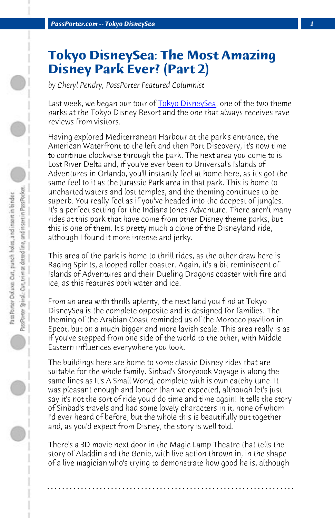*PassPorter.com -- Tokyo DisneySea 1*

## **Tokyo DisneySea: The Most Amazing Disney Park Ever? (Part 2)**

*by Cheryl Pendry, PassPorter Featured Columnist*

Last week, we began our tour of Tokyo DisneySea, one of the two theme parks at the Tokyo Disney Resort and the one that always receives rave reviews from visitors.

Having explored Mediterranean Harbour at the park's entrance, the American Waterfront to the left and then Port Discovery, it's now time to continue clockwise through the park. The next area you come to is Lost River Delta and, if you've ever been to Universal's Islands of Adventures in Orlando, you'll instantly feel at home here, as it's got the same feel to it as the Jurassic Park area in that park. This is home to uncharted waters and lost temples, and the theming continues to be superb. You really feel as if you've headed into the deepest of jungles. It's a perfect setting for the Indiana Jones Adventure. There aren't many rides at this park that have come from other Disney theme parks, but this is one of them. It's pretty much a clone of the Disneyland ride, although I found it more intense and jerky.

This area of the park is home to thrill rides, as the other draw here is Raging Spirits, a looped roller coaster. Again, it's a bit reminiscent of Islands of Adventures and their Dueling Dragons coaster with fire and ice, as this features both water and ice.

From an area with thrills aplenty, the next land you find at Tokyo DisneySea is the complete opposite and is designed for families. The theming of the Arabian Coast reminded us of the Morocco pavilion in Epcot, but on a much bigger and more lavish scale. This area really is as if you've stepped from one side of the world to the other, with Middle Eastern influences everywhere you look.

The buildings here are home to some classic Disney rides that are suitable for the whole family. Sinbad's Storybook Voyage is along the same lines as It's A Small World, complete with is own catchy tune. It was pleasant enough and longer than we expected, although let's just say it's not the sort of ride you'd do time and time again! It tells the story of Sinbad's travels and had some lovely characters in it, none of whom I'd ever heard of before, but the whole this is beautifully put together and, as you'd expect from Disney, the story is well told.

There's a 3D movie next door in the Magic Lamp Theatre that tells the story of Aladdin and the Genie, with live action thrown in, in the shape of a live magician who's trying to demonstrate how good he is, although

**. . . . . . . . . . . . . . . . . . . . . . . . . . . . . . . . . . . . . . . . . . . . . . . . . . . . . . . . . . . . . . . . . .**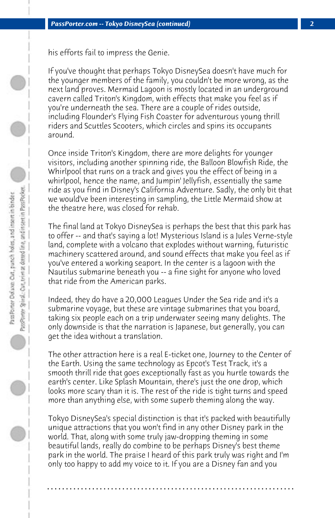his efforts fail to impress the Genie.

If you've thought that perhaps Tokyo DisneySea doesn't have much for the younger members of the family, you couldn't be more wrong, as the next land proves. Mermaid Lagoon is mostly located in an underground cavern called Triton's Kingdom, with effects that make you feel as if you're underneath the sea. There are a couple of rides outside, including Flounder's Flying Fish Coaster for adventurous young thrill riders and Scuttles Scooters, which circles and spins its occupants around.

Once inside Triton's Kingdom, there are more delights for younger visitors, including another spinning ride, the Balloon Blowfish Ride, the Whirlpool that runs on a track and gives you the effect of being in a whirlpool, hence the name, and Jumpin' Jellyfish, essentially the same ride as you find in Disney's California Adventure. Sadly, the only bit that we would've been interesting in sampling, the Little Mermaid show at the theatre here, was closed for rehab.

The final land at Tokyo DisneySea is perhaps the best that this park has to offer -- and that's saying a lot! Mysterious Island is a Jules Verne-style land, complete with a volcano that explodes without warning, futuristic machinery scattered around, and sound effects that make you feel as if you've entered a working seaport. In the center is a lagoon with the Nautilus submarine beneath you -- a fine sight for anyone who loved that ride from the American parks.

Indeed, they do have a 20,000 Leagues Under the Sea ride and it's a submarine voyage, but these are vintage submarines that you board, taking six people each on a trip underwater seeing many delights. The only downside is that the narration is Japanese, but generally, you can get the idea without a translation.

The other attraction here is a real E-ticket one, Journey to the Center of the Earth. Using the same technology as Epcot's Test Track, it's a smooth thrill ride that goes exceptionally fast as you hurtle towards the earth's center. Like Splash Mountain, there's just the one drop, which looks more scary than it is. The rest of the ride is tight turns and speed more than anything else, with some superb theming along the way.

Tokyo DisneySea's special distinction is that it's packed with beautifully unique attractions that you won't find in any other Disney park in the world. That, along with some truly jaw-dropping theming in some beautiful lands, really do combine to be perhaps Disney's best theme park in the world. The praise I heard of this park truly was right and I'm only too happy to add my voice to it. If you are a Disney fan and you

**. . . . . . . . . . . . . . . . . . . . . . . . . . . . . . . . . . . . . . . . . . . . . . . . . . . . . . . . . . . . . . . . . .**